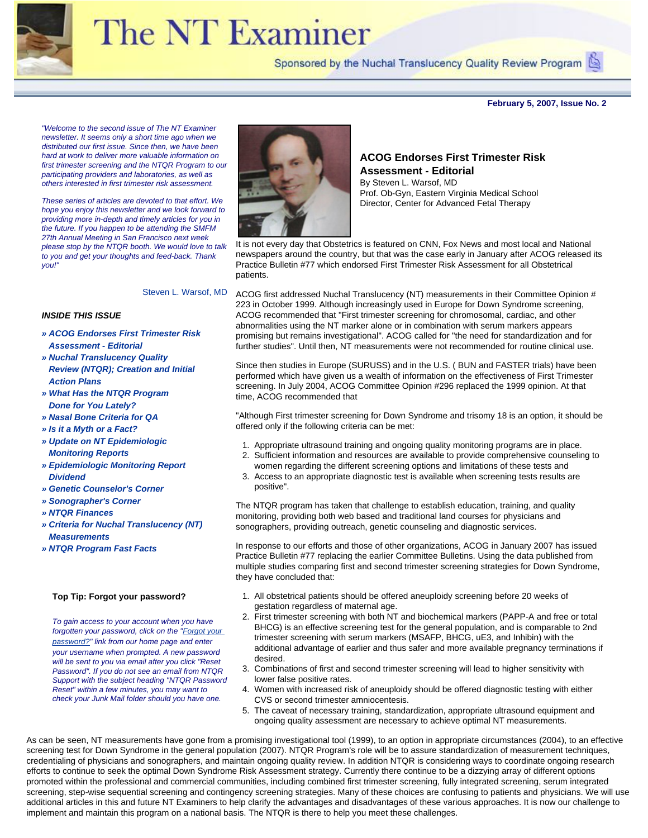

# The NT Examiner

Sponsored by the Nuchal Translucency Quality Review Program

**February 5, 2007, Issue No. 2**

<span id="page-0-0"></span>*"Welcome to the second issue of The NT Examiner newsletter. It seems only a short time ago when we distributed our first issue. Since then, we have been hard at work to deliver more valuable information on first trimester screening and the NTQR Program to our participating providers and laboratories, as well as others interested in first trimester risk assessment.* 

*These series of articles are devoted to that effort. We hope you enjoy this newsletter and we look forward to providing more in-depth and timely articles for you in the future. If you happen to be attending the SMFM 27th Annual Meeting in San Francisco next week please stop by the NTQR booth. We would love to talk to you and get your thoughts and feed-back. Thank you!"* 



**ACOG Endorses First Trimester Risk Assessment - Editorial**

By Steven L. Warsof, MD Prof. Ob-Gyn, Eastern Virginia Medical School Director, Center for Advanced Fetal Therapy

It is not every day that Obstetrics is featured on CNN, Fox News and most local and National newspapers around the country, but that was the case early in January after ACOG released its Practice Bulletin #77 which endorsed First Trimester Risk Assessment for all Obstetrical patients.

Steven L. Warsof, MD

#### *INSIDE THIS ISSUE*

- *» [ACOG Endorses First Trimester Risk](#page-0-0)  [Assessment - Editorial](#page-0-0)*
- *» [Nuchal Translucency Quality](#page-1-0)  [Review \(NTQR\); Creation and Initial](#page-1-0) [Action Plans](#page-1-0)*
- *» [What Has the NTQR Program](#page-1-1)  [Done for You Lately?](#page-1-1)*
- *» [Nasal Bone Criteria for QA](#page-1-2)*
- *» [Is it a Myth or a Fact?](#page-2-0)*
- *» [Update on NT Epidemiologic](#page-3-0)  [Monitoring Reports](#page-3-0)*
- *» [Epidemiologic Monitoring Report](#page-4-0)  [Dividend](#page-4-0)*
- *» [Genetic Counselor's Corner](#page-4-1)*
- *» [Sonographer's Corner](#page-5-0)*
- *» [NTQR Finances](#page-5-1)*
- *» [Criteria for Nuchal Translucency \(NT\)](#page-5-2) [Measurements](#page-5-2)*
- *» [NTQR Program Fast Facts](#page-6-0)*

#### **Top Tip: Forgot your password?**

*To gain access to your account when you have forgotten your password, click on the "[Forgot your](https://www.ntqr.org/SM/wfForgottenPassword.aspx) [password?"](https://www.ntqr.org/SM/wfForgottenPassword.aspx) link from our home page and enter your username when prompted. A new password will be sent to you via email after you click "Reset Password". If you do not see an email from NTQR Support with the subject heading "NTQR Password Reset" within a few minutes, you may want to check your Junk Mail folder should you have one.* 

ACOG first addressed Nuchal Translucency (NT) measurements in their Committee Opinion # 223 in October 1999. Although increasingly used in Europe for Down Syndrome screening, ACOG recommended that "First trimester screening for chromosomal, cardiac, and other abnormalities using the NT marker alone or in combination with serum markers appears promising but remains investigational". ACOG called for "the need for standardization and for further studies". Until then, NT measurements were not recommended for routine clinical use.

Since then studies in Europe (SURUSS) and in the U.S. ( BUN and FASTER trials) have been performed which have given us a wealth of information on the effectiveness of First Trimester screening. In July 2004, ACOG Committee Opinion #296 replaced the 1999 opinion. At that time, ACOG recommended that

"Although First trimester screening for Down Syndrome and trisomy 18 is an option, it should be offered only if the following criteria can be met:

- 1. Appropriate ultrasound training and ongoing quality monitoring programs are in place.
- 2. Sufficient information and resources are available to provide comprehensive counseling to women regarding the different screening options and limitations of these tests and
- 3. Access to an appropriate diagnostic test is available when screening tests results are positive".

The NTQR program has taken that challenge to establish education, training, and quality monitoring, providing both web based and traditional land courses for physicians and sonographers, providing outreach, genetic counseling and diagnostic services.

In response to our efforts and those of other organizations, ACOG in January 2007 has issued Practice Bulletin #77 replacing the earlier Committee Bulletins. Using the data published from multiple studies comparing first and second trimester screening strategies for Down Syndrome, they have concluded that:

- 1. All obstetrical patients should be offered aneuploidy screening before 20 weeks of gestation regardless of maternal age.
- 2. First trimester screening with both NT and biochemical markers (PAPP-A and free or total BHCG) is an effective screening test for the general population, and is comparable to 2nd trimester screening with serum markers (MSAFP, BHCG, uE3, and Inhibin) with the additional advantage of earlier and thus safer and more available pregnancy terminations if desired.
- 3. Combinations of first and second trimester screening will lead to higher sensitivity with lower false positive rates.
- 4. Women with increased risk of aneuploidy should be offered diagnostic testing with either CVS or second trimester amniocentesis.
- 5. The caveat of necessary training, standardization, appropriate ultrasound equipment and ongoing quality assessment are necessary to achieve optimal NT measurements.

As can be seen, NT measurements have gone from a promising investigational tool (1999), to an option in appropriate circumstances (2004), to an effective screening test for Down Syndrome in the general population (2007). NTQR Program's role will be to assure standardization of measurement techniques, credentialing of physicians and sonographers, and maintain ongoing quality review. In addition NTQR is considering ways to coordinate ongoing research efforts to continue to seek the optimal Down Syndrome Risk Assessment strategy. Currently there continue to be a dizzying array of different options promoted within the professional and commercial communities, including combined first trimester screening, fully integrated screening, serum integrated screening, step-wise sequential screening and contingency screening strategies. Many of these choices are confusing to patients and physicians. We will use additional articles in this and future NT Examiners to help clarify the advantages and disadvantages of these various approaches. It is now our challenge to implement and maintain this program on a national basis. The NTQR is there to help you meet these challenges.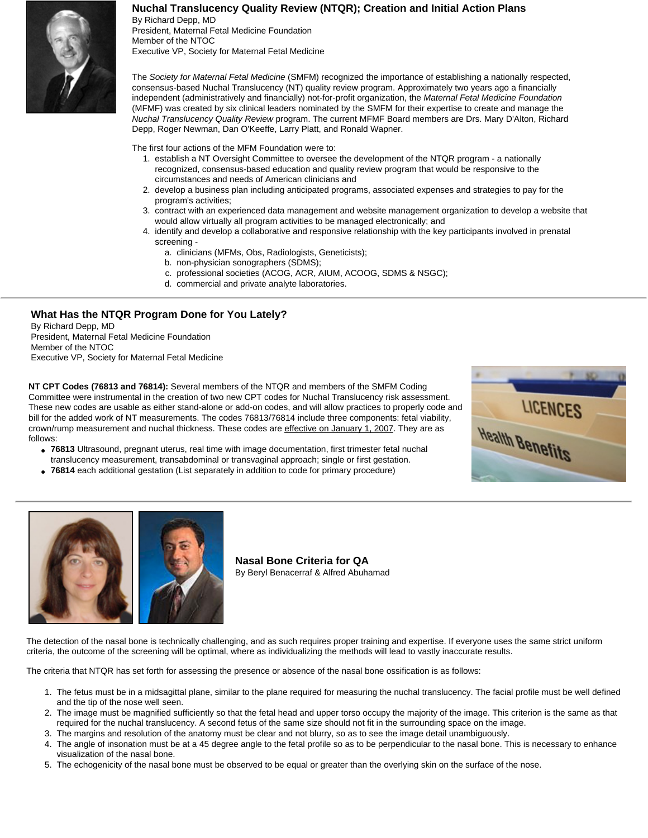# **Nuchal Translucency Quality Review (NTQR); Creation and Initial Action Plans**

<span id="page-1-0"></span>By Richard Depp, MD President, Maternal Fetal Medicine Foundation Member of the NTOC Executive VP, Society for Maternal Fetal Medicine

The *Society for Maternal Fetal Medicine* (SMFM) recognized the importance of establishing a nationally respected, consensus-based Nuchal Translucency (NT) quality review program. Approximately two years ago a financially independent (administratively and financially) not-for-profit organization, the *Maternal Fetal Medicine Foundation* (MFMF) was created by six clinical leaders nominated by the SMFM for their expertise to create and manage the *Nuchal Translucency Quality Review* program. The current MFMF Board members are Drs. Mary D'Alton, Richard Depp, Roger Newman, Dan O'Keeffe, Larry Platt, and Ronald Wapner.

The first four actions of the MFM Foundation were to:

- 1. establish a NT Oversight Committee to oversee the development of the NTQR program a nationally recognized, consensus-based education and quality review program that would be responsive to the circumstances and needs of American clinicians and
- 2. develop a business plan including anticipated programs, associated expenses and strategies to pay for the program's activities;
- 3. contract with an experienced data management and website management organization to develop a website that would allow virtually all program activities to be managed electronically; and
- 4. identify and develop a collaborative and responsive relationship with the key participants involved in prenatal screening
	- a. clinicians (MFMs, Obs, Radiologists, Geneticists);
	- b. non-physician sonographers (SDMS);
	- c. professional societies (ACOG, ACR, AIUM, ACOOG, SDMS & NSGC);
	- d. commercial and private analyte laboratories.

# <span id="page-1-1"></span>**What Has the NTQR Program Done for You Lately?**

By Richard Depp, MD President, Maternal Fetal Medicine Foundation Member of the NTOC Executive VP, Society for Maternal Fetal Medicine

**NT CPT Codes (76813 and 76814):** Several members of the NTQR and members of the SMFM Coding Committee were instrumental in the creation of two new CPT codes for Nuchal Translucency risk assessment. These new codes are usable as either stand-alone or add-on codes, and will allow practices to properly code and bill for the added work of NT measurements. The codes 76813/76814 include three components: fetal viability, crown/rump measurement and nuchal thickness. These codes are effective on January 1, 2007. They are as follows:

- **76813** Ultrasound, pregnant uterus, real time with image documentation, first trimester fetal nuchal translucency measurement, transabdominal or transvaginal approach; single or first gestation.
- **76814** each additional gestation (List separately in addition to code for primary procedure)



<span id="page-1-2"></span>

**Nasal Bone Criteria for QA** By Beryl Benacerraf & Alfred Abuhamad

The detection of the nasal bone is technically challenging, and as such requires proper training and expertise. If everyone uses the same strict uniform criteria, the outcome of the screening will be optimal, where as individualizing the methods will lead to vastly inaccurate results.

The criteria that NTQR has set forth for assessing the presence or absence of the nasal bone ossification is as follows:

- 1. The fetus must be in a midsagittal plane, similar to the plane required for measuring the nuchal translucency. The facial profile must be well defined and the tip of the nose well seen.
- 2. The image must be magnified sufficiently so that the fetal head and upper torso occupy the majority of the image. This criterion is the same as that required for the nuchal translucency. A second fetus of the same size should not fit in the surrounding space on the image.
- 3. The margins and resolution of the anatomy must be clear and not blurry, so as to see the image detail unambiguously.
- 4. The angle of insonation must be at a 45 degree angle to the fetal profile so as to be perpendicular to the nasal bone. This is necessary to enhance visualization of the nasal bone.
- 5. The echogenicity of the nasal bone must be observed to be equal or greater than the overlying skin on the surface of the nose.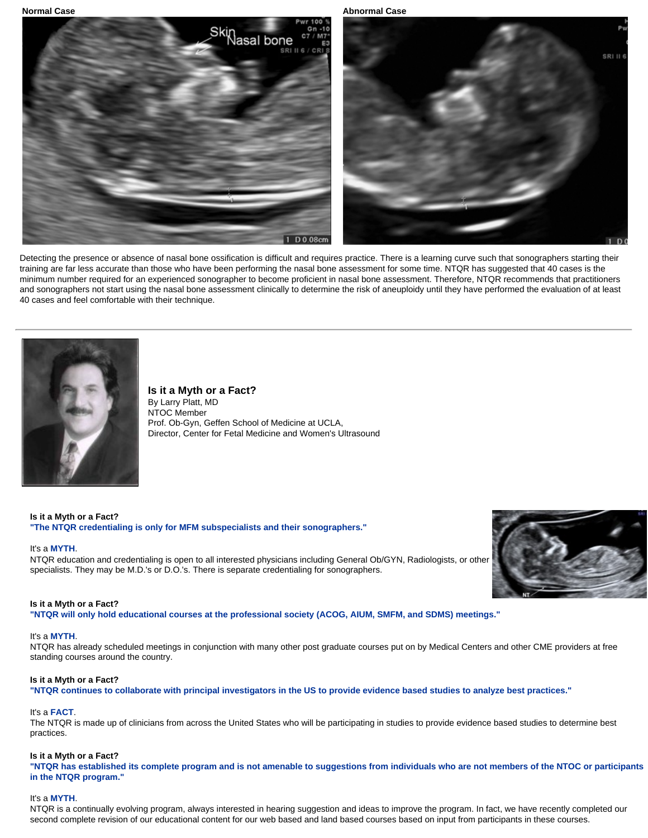**Normal Case Abnormal Case** Abnormal Case Abnormal Case Abnormal Case Abnormal Case



Detecting the presence or absence of nasal bone ossification is difficult and requires practice. There is a learning curve such that sonographers starting their training are far less accurate than those who have been performing the nasal bone assessment for some time. NTQR has suggested that 40 cases is the minimum number required for an experienced sonographer to become proficient in nasal bone assessment. Therefore, NTQR recommends that practitioners and sonographers not start using the nasal bone assessment clinically to determine the risk of aneuploidy until they have performed the evaluation of at least 40 cases and feel comfortable with their technique.

<span id="page-2-0"></span>

**Is it a Myth or a Fact?** By Larry Platt, MD NTOC Member Prof. Ob-Gyn, Geffen School of Medicine at UCLA, Director, Center for Fetal Medicine and Women's Ultrasound

**Is it a Myth or a Fact? "The NTQR credentialing is only for MFM subspecialists and their sonographers."**

#### It's a **MYTH**.

NTQR education and credentialing is open to all interested physicians including General Ob/GYN, Radiologists, or other specialists. They may be M.D.'s or D.O.'s. There is separate credentialing for sonographers.

#### **Is it a Myth or a Fact?**

**"NTQR will only hold educational courses at the professional society (ACOG, AIUM, SMFM, and SDMS) meetings."**

#### It's a **MYTH**.

NTQR has already scheduled meetings in conjunction with many other post graduate courses put on by Medical Centers and other CME providers at free standing courses around the country.

#### **Is it a Myth or a Fact?**

**"NTQR continues to collaborate with principal investigators in the US to provide evidence based studies to analyze best practices."**

#### It's a **FACT**.

The NTQR is made up of clinicians from across the United States who will be participating in studies to provide evidence based studies to determine best practices.

#### **Is it a Myth or a Fact?**

**"NTQR has established its complete program and is not amenable to suggestions from individuals who are not members of the NTOC or participants in the NTQR program."**

#### It's a **MYTH**.

NTQR is a continually evolving program, always interested in hearing suggestion and ideas to improve the program. In fact, we have recently completed our second complete revision of our educational content for our web based and land based courses based on input from participants in these courses.

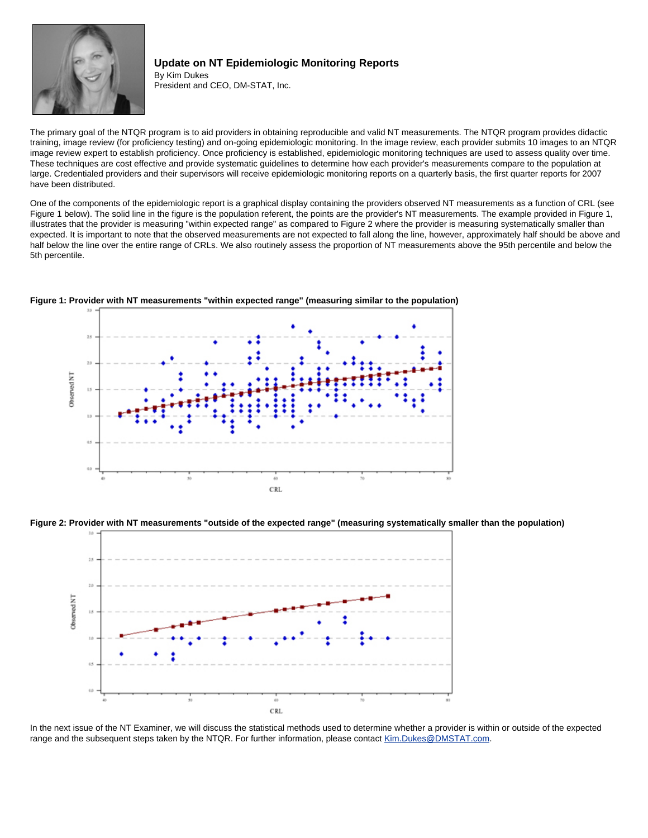<span id="page-3-0"></span>

# **Update on NT Epidemiologic Monitoring Reports** By Kim Dukes

President and CEO, DM-STAT, Inc.

The primary goal of the NTQR program is to aid providers in obtaining reproducible and valid NT measurements. The NTQR program provides didactic training, image review (for proficiency testing) and on-going epidemiologic monitoring. In the image review, each provider submits 10 images to an NTQR image review expert to establish proficiency. Once proficiency is established, epidemiologic monitoring techniques are used to assess quality over time. These techniques are cost effective and provide systematic guidelines to determine how each provider's measurements compare to the population at large. Credentialed providers and their supervisors will receive epidemiologic monitoring reports on a quarterly basis, the first quarter reports for 2007 have been distributed.

One of the components of the epidemiologic report is a graphical display containing the providers observed NT measurements as a function of CRL (see Figure 1 below). The solid line in the figure is the population referent, the points are the provider's NT measurements. The example provided in Figure 1, illustrates that the provider is measuring "within expected range" as compared to Figure 2 where the provider is measuring systematically smaller than expected. It is important to note that the observed measurements are not expected to fall along the line, however, approximately half should be above and half below the line over the entire range of CRLs. We also routinely assess the proportion of NT measurements above the 95th percentile and below the 5th percentile.



**Figure 1: Provider with NT measurements "within expected range" (measuring similar to the population)**

**Figure 2: Provider with NT measurements "outside of the expected range" (measuring systematically smaller than the population)**



In the next issue of the NT Examiner, we will discuss the statistical methods used to determine whether a provider is within or outside of the expected range and the subsequent steps taken by the NTQR. For further information, please contact [Kim.Dukes@DMSTAT.com.](mailto:Kim.Dukes@DMSTAT.com)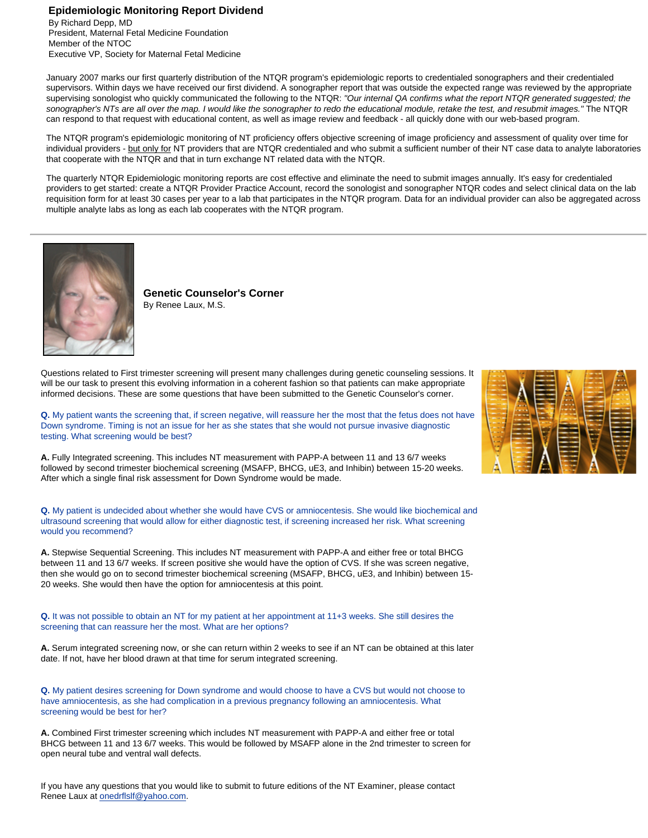## <span id="page-4-0"></span>**Epidemiologic Monitoring Report Dividend**

By Richard Depp, MD President, Maternal Fetal Medicine Foundation Member of the NTOC Executive VP, Society for Maternal Fetal Medicine

January 2007 marks our first quarterly distribution of the NTQR program's epidemiologic reports to credentialed sonographers and their credentialed supervisors. Within days we have received our first dividend. A sonographer report that was outside the expected range was reviewed by the appropriate supervising sonologist who quickly communicated the following to the NTQR: *"Our internal QA confirms what the report NTQR generated suggested; the sonographer's NTs are all over the map. I would like the sonographer to redo the educational module, retake the test, and resubmit images."* The NTQR can respond to that request with educational content, as well as image review and feedback - all quickly done with our web-based program.

The NTQR program's epidemiologic monitoring of NT proficiency offers objective screening of image proficiency and assessment of quality over time for individual providers - but only for NT providers that are NTQR credentialed and who submit a sufficient number of their NT case data to analyte laboratories that cooperate with the NTQR and that in turn exchange NT related data with the NTQR.

The quarterly NTQR Epidemiologic monitoring reports are cost effective and eliminate the need to submit images annually. It's easy for credentialed providers to get started: create a NTQR Provider Practice Account, record the sonologist and sonographer NTQR codes and select clinical data on the lab requisition form for at least 30 cases per year to a lab that participates in the NTQR program. Data for an individual provider can also be aggregated across multiple analyte labs as long as each lab cooperates with the NTQR program.

<span id="page-4-1"></span>

**Genetic Counselor's Corner** By Renee Laux, M.S.

Questions related to First trimester screening will present many challenges during genetic counseling sessions. It will be our task to present this evolving information in a coherent fashion so that patients can make appropriate informed decisions. These are some questions that have been submitted to the Genetic Counselor's corner.

**Q.** My patient wants the screening that, if screen negative, will reassure her the most that the fetus does not have Down syndrome. Timing is not an issue for her as she states that she would not pursue invasive diagnostic testing. What screening would be best?

**A.** Fully Integrated screening. This includes NT measurement with PAPP-A between 11 and 13 6/7 weeks followed by second trimester biochemical screening (MSAFP, BHCG, uE3, and Inhibin) between 15-20 weeks. After which a single final risk assessment for Down Syndrome would be made.

**Q.** My patient is undecided about whether she would have CVS or amniocentesis. She would like biochemical and ultrasound screening that would allow for either diagnostic test, if screening increased her risk. What screening would you recommend?

**A.** Stepwise Sequential Screening. This includes NT measurement with PAPP-A and either free or total BHCG between 11 and 13 6/7 weeks. If screen positive she would have the option of CVS. If she was screen negative, then she would go on to second trimester biochemical screening (MSAFP, BHCG, uE3, and Inhibin) between 15- 20 weeks. She would then have the option for amniocentesis at this point.

**Q.** It was not possible to obtain an NT for my patient at her appointment at 11+3 weeks. She still desires the screening that can reassure her the most. What are her options?

**A.** Serum integrated screening now, or she can return within 2 weeks to see if an NT can be obtained at this later date. If not, have her blood drawn at that time for serum integrated screening.

**Q.** My patient desires screening for Down syndrome and would choose to have a CVS but would not choose to have amniocentesis, as she had complication in a previous pregnancy following an amniocentesis. What screening would be best for her?

**A.** Combined First trimester screening which includes NT measurement with PAPP-A and either free or total BHCG between 11 and 13 6/7 weeks. This would be followed by MSAFP alone in the 2nd trimester to screen for open neural tube and ventral wall defects.

If you have any questions that you would like to submit to future editions of the NT Examiner, please contact Renee Laux at [onedrflslf@yahoo.com.](mailto:onedrflslf@yahoo.com)

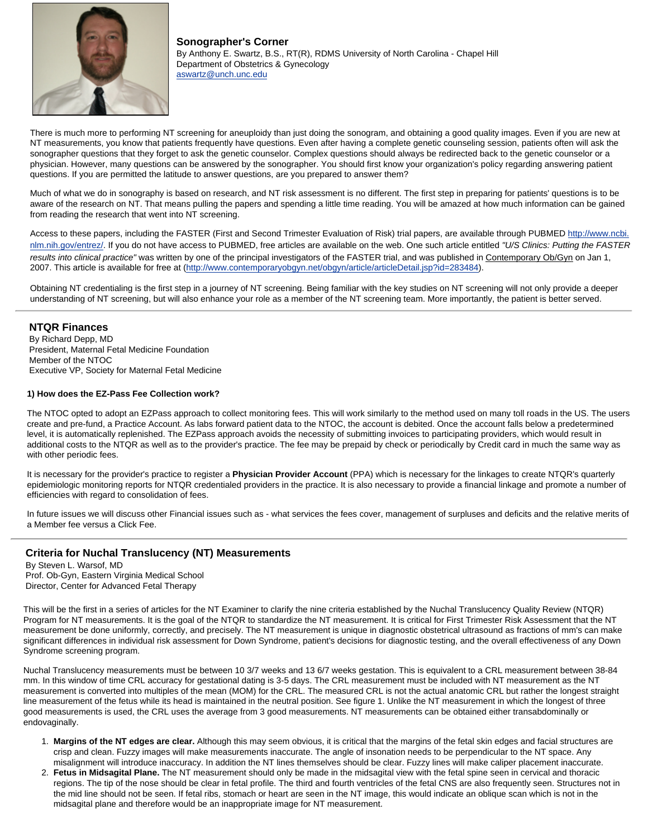<span id="page-5-0"></span>

**Sonographer's Corner** By Anthony E. Swartz, B.S., RT(R), RDMS University of North Carolina - Chapel Hill Department of Obstetrics & Gynecology [aswartz@unch.unc.edu](file:///C|/Projects/NTQR/Newsletters/NT%20Examiner/aswartz@unch.unc.edu)

There is much more to performing NT screening for aneuploidy than just doing the sonogram, and obtaining a good quality images. Even if you are new at NT measurements, you know that patients frequently have questions. Even after having a complete genetic counseling session, patients often will ask the sonographer questions that they forget to ask the genetic counselor. Complex questions should always be redirected back to the genetic counselor or a physician. However, many questions can be answered by the sonographer. You should first know your organization's policy regarding answering patient questions. If you are permitted the latitude to answer questions, are you prepared to answer them?

Much of what we do in sonography is based on research, and NT risk assessment is no different. The first step in preparing for patients' questions is to be aware of the research on NT. That means pulling the papers and spending a little time reading. You will be amazed at how much information can be gained from reading the research that went into NT screening.

Access to these papers, including the FASTER (First and Second Trimester Evaluation of Risk) trial papers, are available through PUBMED [http://www.ncbi.](http://www.ncbi.nlm.nih.gov/entrez/) [nlm.nih.gov/entrez/.](http://www.ncbi.nlm.nih.gov/entrez/) If you do not have access to PUBMED, free articles are available on the web. One such article entitled *"U/S Clinics: Putting the FASTER results into clinical practice"* was written by one of the principal investigators of the FASTER trial, and was published in Contemporary Ob/Gyn on Jan 1, 2007. This article is available for free at [\(http://www.contemporaryobgyn.net/obgyn/article/articleDetail.jsp?id=283484](http://www.contemporaryobgyn.net/obgyn/article/articleDetail.jsp?id=283484)).

Obtaining NT credentialing is the first step in a journey of NT screening. Being familiar with the key studies on NT screening will not only provide a deeper understanding of NT screening, but will also enhance your role as a member of the NT screening team. More importantly, the patient is better served.

### <span id="page-5-1"></span>**NTQR Finances**

By Richard Depp, MD President, Maternal Fetal Medicine Foundation Member of the NTOC Executive VP, Society for Maternal Fetal Medicine

#### **1) How does the EZ-Pass Fee Collection work?**

The NTOC opted to adopt an EZPass approach to collect monitoring fees. This will work similarly to the method used on many toll roads in the US. The users create and pre-fund, a Practice Account. As labs forward patient data to the NTOC, the account is debited. Once the account falls below a predetermined level, it is automatically replenished. The EZPass approach avoids the necessity of submitting invoices to participating providers, which would result in additional costs to the NTQR as well as to the provider's practice. The fee may be prepaid by check or periodically by Credit card in much the same way as with other periodic fees.

It is necessary for the provider's practice to register a **Physician Provider Account** (PPA) which is necessary for the linkages to create NTQR's quarterly epidemiologic monitoring reports for NTQR credentialed providers in the practice. It is also necessary to provide a financial linkage and promote a number of efficiencies with regard to consolidation of fees.

In future issues we will discuss other Financial issues such as - what services the fees cover, management of surpluses and deficits and the relative merits of a Member fee versus a Click Fee.

## <span id="page-5-2"></span>**Criteria for Nuchal Translucency (NT) Measurements**

By Steven L. Warsof, MD Prof. Ob-Gyn, Eastern Virginia Medical School Director, Center for Advanced Fetal Therapy

This will be the first in a series of articles for the NT Examiner to clarify the nine criteria established by the Nuchal Translucency Quality Review (NTQR) Program for NT measurements. It is the goal of the NTQR to standardize the NT measurement. It is critical for First Trimester Risk Assessment that the NT measurement be done uniformly, correctly, and precisely. The NT measurement is unique in diagnostic obstetrical ultrasound as fractions of mm's can make significant differences in individual risk assessment for Down Syndrome, patient's decisions for diagnostic testing, and the overall effectiveness of any Down Syndrome screening program.

Nuchal Translucency measurements must be between 10 3/7 weeks and 13 6/7 weeks gestation. This is equivalent to a CRL measurement between 38-84 mm. In this window of time CRL accuracy for gestational dating is 3-5 days. The CRL measurement must be included with NT measurement as the NT measurement is converted into multiples of the mean (MOM) for the CRL. The measured CRL is not the actual anatomic CRL but rather the longest straight line measurement of the fetus while its head is maintained in the neutral position. See figure 1. Unlike the NT measurement in which the longest of three good measurements is used, the CRL uses the average from 3 good measurements. NT measurements can be obtained either transabdominally or endovaginally.

- 1. **Margins of the NT edges are clear.** Although this may seem obvious, it is critical that the margins of the fetal skin edges and facial structures are crisp and clean. Fuzzy images will make measurements inaccurate. The angle of insonation needs to be perpendicular to the NT space. Any misalignment will introduce inaccuracy. In addition the NT lines themselves should be clear. Fuzzy lines will make caliper placement inaccurate.
- 2. **Fetus in Midsagital Plane.** The NT measurement should only be made in the midsagital view with the fetal spine seen in cervical and thoracic regions. The tip of the nose should be clear in fetal profile. The third and fourth ventricles of the fetal CNS are also frequently seen. Structures not in the mid line should not be seen. If fetal ribs, stomach or heart are seen in the NT image, this would indicate an oblique scan which is not in the midsagital plane and therefore would be an inappropriate image for NT measurement.